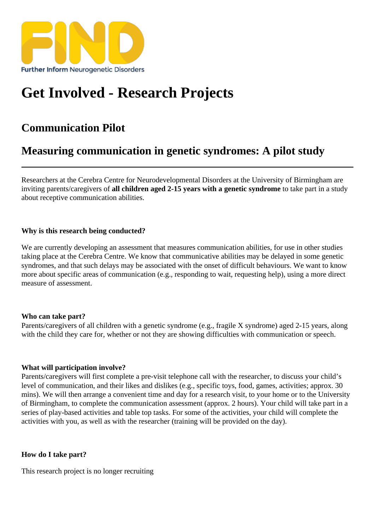## [Get Involved - Res](https://findresources.co.uk)earch Projects

## Communication Pilot

## Measuring communication in genetic syndromes: A pilot study

Researchers at the Cerebra Centre for Neurodevelopmental Disorders at the University of Birmingham are inviting parents/caregivers all children aged 2-15 years with a genetic syndrome take part in a study about receptive communication abilities.

Why is this research being conducted?

We are currently developing an assessment that measures communication abilities, for use in other studies taking place at the Cerebra Centre. We know that communicative abilities may be delayed in some genetic syndromes, and that such delays may be associated with the onset of difficult behaviours. We want to know more about specific areas of communication (e.g., responding to wait, requesting help), using a more direct measure of assessment.

Who can take part?

Parents/caregivers of all children with a genetic syndrome (e.g., fragile X syndrome) aged 2-15 years, along with the child they care for, whether or not they are showing difficulties with communication or speech.

## What will participation involve?

Parents/caregivers will first complete a pre-visit telephone call with the researcher, to discuss your child's level of communication, and their likes and dislikes (e.g., specific toys, food, games, activities; approx. 30 mins). We will then arrange a convenient time and day for a research visit, to your home or to the University of Birmingham, to complete the communication assessment (approx. 2 hours). Your child will take part in a series of play-based activities and table top tasks. For some of the activities, your child will complete the activities with you, as well as with the researcher (training will be provided on the day).

How do I take part?

This research project is no longer recruiting